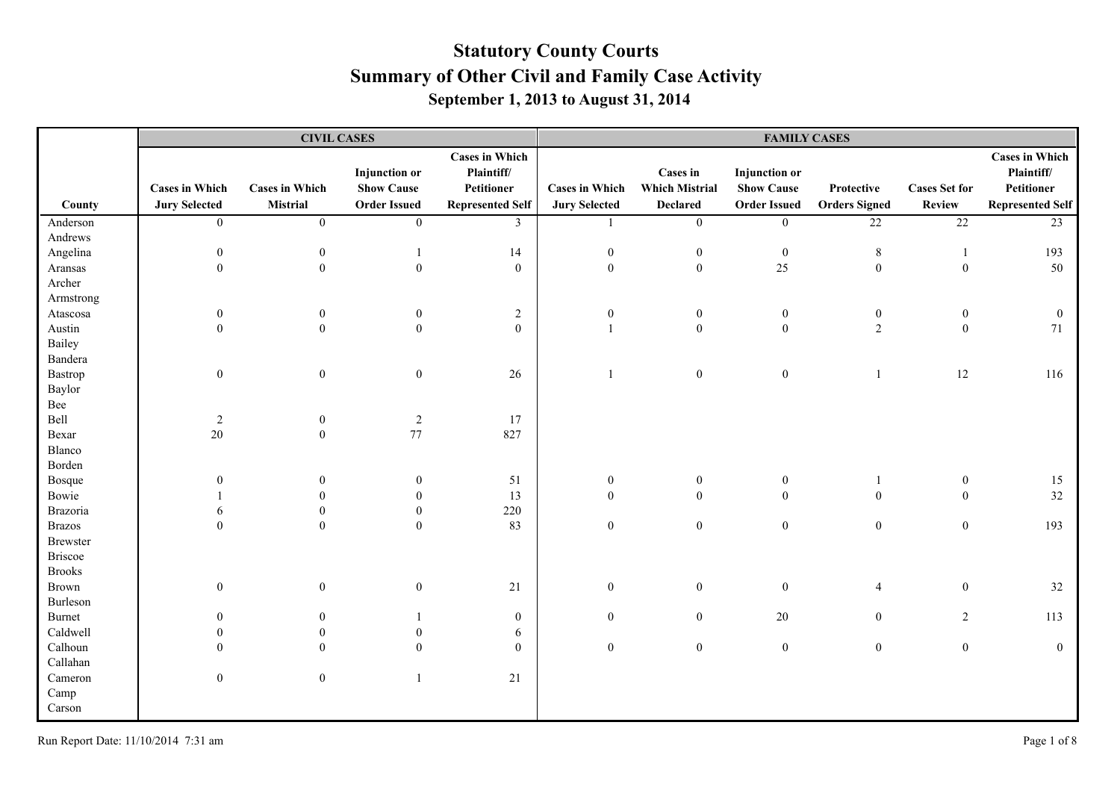|                 |                       | <b>CIVIL CASES</b>    |                                           |                                                   | <b>FAMILY CASES</b>   |                                          |                                           |                      |                      |                                                   |  |
|-----------------|-----------------------|-----------------------|-------------------------------------------|---------------------------------------------------|-----------------------|------------------------------------------|-------------------------------------------|----------------------|----------------------|---------------------------------------------------|--|
|                 | <b>Cases in Which</b> | <b>Cases in Which</b> | <b>Injunction</b> or<br><b>Show Cause</b> | <b>Cases in Which</b><br>Plaintiff/<br>Petitioner | <b>Cases in Which</b> | <b>Cases in</b><br><b>Which Mistrial</b> | <b>Injunction</b> or<br><b>Show Cause</b> | Protective           | <b>Cases Set for</b> | <b>Cases in Which</b><br>Plaintiff/<br>Petitioner |  |
| County          | <b>Jury Selected</b>  | Mistrial              | <b>Order Issued</b>                       | <b>Represented Self</b>                           | <b>Jury Selected</b>  | <b>Declared</b>                          | <b>Order Issued</b>                       | <b>Orders Signed</b> | Review               | <b>Represented Self</b>                           |  |
| Anderson        | $\overline{0}$        | $\mathbf{0}$          | $\overline{0}$                            | 3                                                 | 1                     | $\boldsymbol{0}$                         | $\overline{0}$                            | $\overline{22}$      | $\overline{22}$      | 23                                                |  |
| Andrews         |                       |                       |                                           |                                                   |                       |                                          |                                           |                      |                      |                                                   |  |
| Angelina        | $\mathbf{0}$          | $\mathbf{0}$          | $\mathbf{1}$                              | 14                                                | $\boldsymbol{0}$      | $\boldsymbol{0}$                         | $\boldsymbol{0}$                          | $\,8\,$              | -1                   | 193                                               |  |
| Aransas         | $\overline{0}$        | $\boldsymbol{0}$      | $\boldsymbol{0}$                          | $\boldsymbol{0}$                                  | $\mathbf{0}$          | $\boldsymbol{0}$                         | 25                                        | $\boldsymbol{0}$     | $\boldsymbol{0}$     | 50                                                |  |
| Archer          |                       |                       |                                           |                                                   |                       |                                          |                                           |                      |                      |                                                   |  |
| Armstrong       |                       |                       |                                           |                                                   |                       |                                          |                                           |                      |                      |                                                   |  |
| Atascosa        | $\boldsymbol{0}$      | $\boldsymbol{0}$      | $\bf{0}$                                  | $\overline{c}$                                    | $\boldsymbol{0}$      | $\boldsymbol{0}$                         | $\bf{0}$                                  | $\boldsymbol{0}$     | $\boldsymbol{0}$     | $\mathbf{0}$                                      |  |
| Austin          | $\Omega$              | $\theta$              | $\overline{0}$                            | $\boldsymbol{0}$                                  | $\overline{1}$        | $\mathbf{0}$                             | $\mathbf{0}$                              | 2                    | $\mathbf{0}$         | 71                                                |  |
| Bailey          |                       |                       |                                           |                                                   |                       |                                          |                                           |                      |                      |                                                   |  |
| Bandera         |                       |                       |                                           |                                                   |                       |                                          |                                           |                      |                      |                                                   |  |
| Bastrop         | $\boldsymbol{0}$      | $\boldsymbol{0}$      | $\boldsymbol{0}$                          | 26                                                | $\mathbf{1}$          | $\boldsymbol{0}$                         | $\boldsymbol{0}$                          | $\mathbf{1}$         | 12                   | 116                                               |  |
| Baylor          |                       |                       |                                           |                                                   |                       |                                          |                                           |                      |                      |                                                   |  |
| Bee             |                       |                       |                                           |                                                   |                       |                                          |                                           |                      |                      |                                                   |  |
| Bell            | $\overline{2}$        | $\boldsymbol{0}$      | $\overline{c}$                            | 17                                                |                       |                                          |                                           |                      |                      |                                                   |  |
| Bexar           | 20                    | $\theta$              | 77                                        | 827                                               |                       |                                          |                                           |                      |                      |                                                   |  |
| Blanco          |                       |                       |                                           |                                                   |                       |                                          |                                           |                      |                      |                                                   |  |
| Borden          |                       |                       |                                           |                                                   |                       |                                          |                                           |                      |                      |                                                   |  |
| Bosque          | $\mathbf{0}$          | $\mathbf{0}$          | $\boldsymbol{0}$                          | 51                                                | $\boldsymbol{0}$      | $\mathbf{0}$                             | $\boldsymbol{0}$                          | $\mathbf{1}$         | $\boldsymbol{0}$     | 15                                                |  |
| Bowie           |                       |                       | $\overline{0}$                            | 13                                                | $\overline{0}$        | $\overline{0}$                           | $\mathbf{0}$                              | $\boldsymbol{0}$     | $\mathbf{0}$         | 32                                                |  |
| Brazoria        | 6                     | $\theta$              | $\boldsymbol{0}$                          | 220                                               |                       |                                          |                                           |                      |                      |                                                   |  |
| <b>Brazos</b>   | $\Omega$              | $\mathbf{0}$          | $\Omega$                                  | 83                                                | $\boldsymbol{0}$      | $\boldsymbol{0}$                         | $\boldsymbol{0}$                          | $\boldsymbol{0}$     | $\boldsymbol{0}$     | 193                                               |  |
| <b>Brewster</b> |                       |                       |                                           |                                                   |                       |                                          |                                           |                      |                      |                                                   |  |
| <b>Briscoe</b>  |                       |                       |                                           |                                                   |                       |                                          |                                           |                      |                      |                                                   |  |
| <b>Brooks</b>   |                       |                       |                                           |                                                   |                       |                                          |                                           |                      |                      |                                                   |  |
| Brown           | $\mathbf{0}$          | $\mathbf{0}$          | $\boldsymbol{0}$                          | 21                                                | $\boldsymbol{0}$      | $\mathbf{0}$                             | $\boldsymbol{0}$                          | $\overline{4}$       | $\boldsymbol{0}$     | 32                                                |  |
| Burleson        |                       |                       |                                           |                                                   |                       |                                          |                                           |                      |                      |                                                   |  |
| Burnet          | $\theta$              | $\mathbf{0}$          |                                           | $\boldsymbol{0}$                                  | $\mathbf{0}$          | $\mathbf{0}$                             | $20\,$                                    | $\mathbf{0}$         | $\overline{c}$       | 113                                               |  |
| Caldwell        | $\Omega$              | $\theta$              | $\theta$                                  | $\sqrt{6}$                                        |                       |                                          |                                           |                      |                      |                                                   |  |
| Calhoun         | $\Omega$              | $\Omega$              | $\Omega$                                  | $\theta$                                          | $\boldsymbol{0}$      | $\boldsymbol{0}$                         | $\mathbf{0}$                              | $\boldsymbol{0}$     | $\boldsymbol{0}$     | $\overline{0}$                                    |  |
| Callahan        |                       |                       |                                           |                                                   |                       |                                          |                                           |                      |                      |                                                   |  |
| Cameron         | $\boldsymbol{0}$      | $\mathbf{0}$          | 1                                         | 21                                                |                       |                                          |                                           |                      |                      |                                                   |  |
| Camp            |                       |                       |                                           |                                                   |                       |                                          |                                           |                      |                      |                                                   |  |
| Carson          |                       |                       |                                           |                                                   |                       |                                          |                                           |                      |                      |                                                   |  |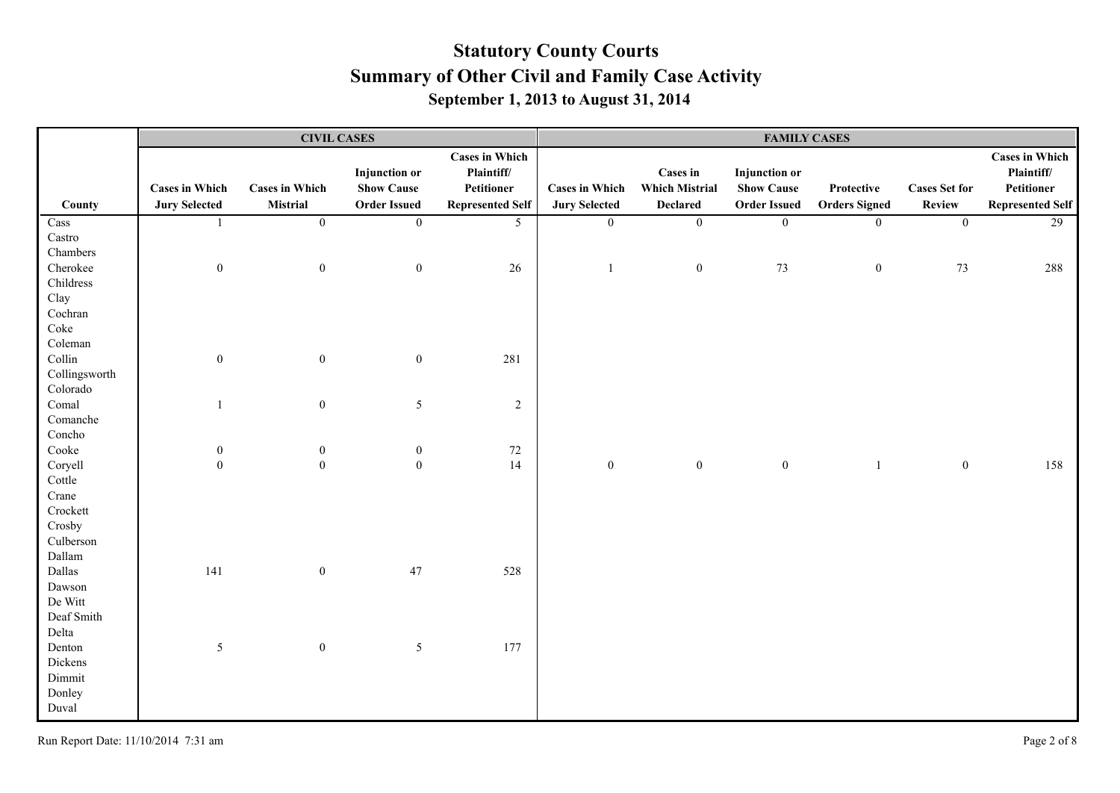|                         |                       |                       | <b>CIVIL CASES</b>   |                         | <b>FAMILY CASES</b>   |                       |                      |                      |                      |                         |
|-------------------------|-----------------------|-----------------------|----------------------|-------------------------|-----------------------|-----------------------|----------------------|----------------------|----------------------|-------------------------|
|                         |                       |                       |                      | <b>Cases in Which</b>   |                       |                       |                      |                      |                      | <b>Cases in Which</b>   |
|                         |                       |                       | <b>Injunction</b> or | Plaintiff/              |                       | <b>Cases in</b>       | <b>Injunction</b> or |                      |                      | Plaintiff/              |
|                         | <b>Cases in Which</b> | <b>Cases in Which</b> | <b>Show Cause</b>    | Petitioner              | <b>Cases in Which</b> | <b>Which Mistrial</b> | <b>Show Cause</b>    | Protective           | <b>Cases Set for</b> | Petitioner              |
| County                  | <b>Jury Selected</b>  | <b>Mistrial</b>       | <b>Order Issued</b>  | <b>Represented Self</b> | <b>Jury Selected</b>  | <b>Declared</b>       | <b>Order Issued</b>  | <b>Orders Signed</b> | <b>Review</b>        | <b>Represented Self</b> |
| Cass                    | $\mathbf{1}$          | $\overline{0}$        | $\overline{0}$       | 5 <sup>5</sup>          | $\overline{0}$        | $\overline{0}$        | $\overline{0}$       | $\boldsymbol{0}$     | $\overline{0}$       | $\overline{29}$         |
| $\operatorname{Castro}$ |                       |                       |                      |                         |                       |                       |                      |                      |                      |                         |
| Chambers                |                       |                       |                      |                         |                       |                       |                      |                      |                      |                         |
| Cherokee                | $\boldsymbol{0}$      | $\boldsymbol{0}$      | $\boldsymbol{0}$     | $26\,$                  | $\mathbf{1}$          | $\boldsymbol{0}$      | 73                   | $\boldsymbol{0}$     | 73                   | 288                     |
| Childress               |                       |                       |                      |                         |                       |                       |                      |                      |                      |                         |
| Clay                    |                       |                       |                      |                         |                       |                       |                      |                      |                      |                         |
| Cochran                 |                       |                       |                      |                         |                       |                       |                      |                      |                      |                         |
| Coke                    |                       |                       |                      |                         |                       |                       |                      |                      |                      |                         |
| Coleman                 |                       |                       |                      |                         |                       |                       |                      |                      |                      |                         |
| Collin                  | $\boldsymbol{0}$      | $\boldsymbol{0}$      | $\boldsymbol{0}$     | 281                     |                       |                       |                      |                      |                      |                         |
| Collingsworth           |                       |                       |                      |                         |                       |                       |                      |                      |                      |                         |
| Colorado                |                       |                       |                      |                         |                       |                       |                      |                      |                      |                         |
| Comal                   | $\overline{1}$        | $\boldsymbol{0}$      | $\mathfrak{S}$       | $\sqrt{2}$              |                       |                       |                      |                      |                      |                         |
| Comanche                |                       |                       |                      |                         |                       |                       |                      |                      |                      |                         |
| Concho                  |                       |                       |                      |                         |                       |                       |                      |                      |                      |                         |
| Cooke                   | $\boldsymbol{0}$      | $\boldsymbol{0}$      | $\boldsymbol{0}$     | $72\,$                  |                       |                       |                      |                      |                      |                         |
| Coryell                 | $\boldsymbol{0}$      | $\boldsymbol{0}$      | $\boldsymbol{0}$     | 14                      | $\boldsymbol{0}$      | $\boldsymbol{0}$      | $\boldsymbol{0}$     | -1                   | $\boldsymbol{0}$     | 158                     |
| Cottle                  |                       |                       |                      |                         |                       |                       |                      |                      |                      |                         |
| Crane                   |                       |                       |                      |                         |                       |                       |                      |                      |                      |                         |
| Crockett                |                       |                       |                      |                         |                       |                       |                      |                      |                      |                         |
| Crosby                  |                       |                       |                      |                         |                       |                       |                      |                      |                      |                         |
| Culberson               |                       |                       |                      |                         |                       |                       |                      |                      |                      |                         |
| Dallam                  |                       |                       |                      |                         |                       |                       |                      |                      |                      |                         |
| Dallas                  | 141                   | $\boldsymbol{0}$      | 47                   | 528                     |                       |                       |                      |                      |                      |                         |
| Dawson                  |                       |                       |                      |                         |                       |                       |                      |                      |                      |                         |
| De Witt                 |                       |                       |                      |                         |                       |                       |                      |                      |                      |                         |
| Deaf Smith              |                       |                       |                      |                         |                       |                       |                      |                      |                      |                         |
| Delta                   |                       |                       |                      |                         |                       |                       |                      |                      |                      |                         |
| Denton                  | $\mathfrak{S}$        | $\boldsymbol{0}$      | $5\overline{)}$      | 177                     |                       |                       |                      |                      |                      |                         |
| Dickens                 |                       |                       |                      |                         |                       |                       |                      |                      |                      |                         |
| Dimmit                  |                       |                       |                      |                         |                       |                       |                      |                      |                      |                         |
| Donley                  |                       |                       |                      |                         |                       |                       |                      |                      |                      |                         |
| Duval                   |                       |                       |                      |                         |                       |                       |                      |                      |                      |                         |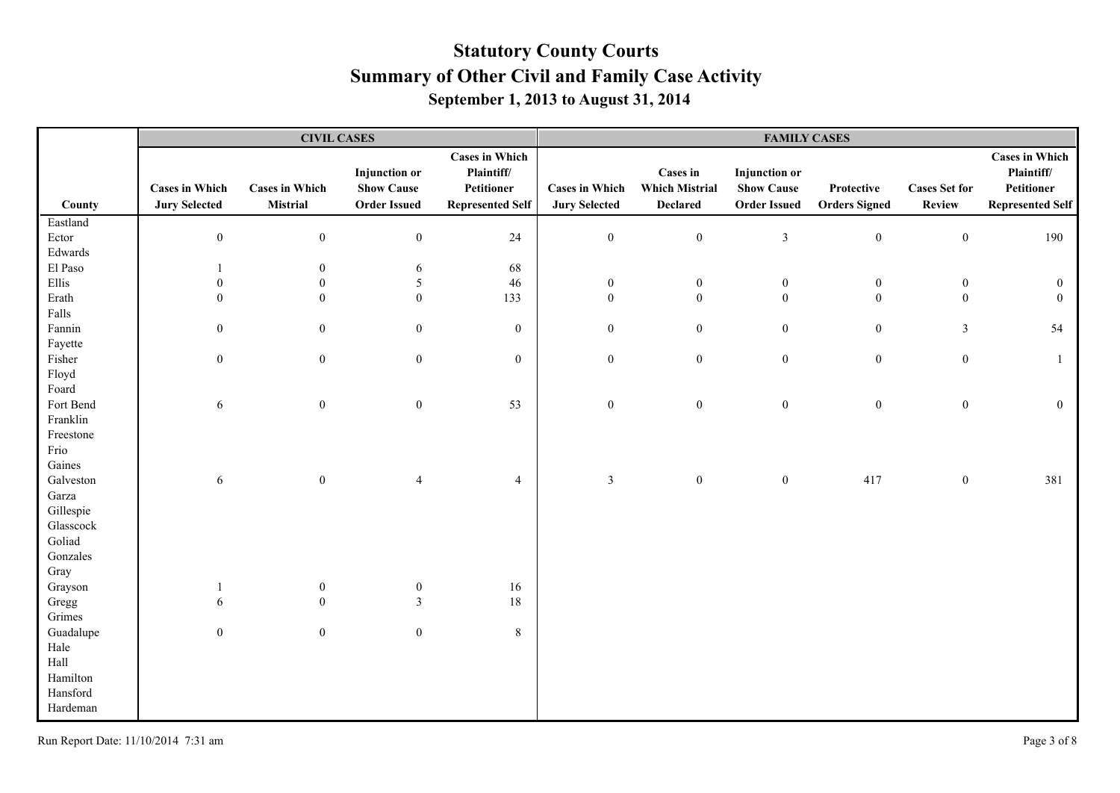|           |                                               |                                   | <b>CIVIL CASES</b>                                               |                                                                              | <b>FAMILY CASES</b>                           |                                                      |                                                                  |                                    |                                       |                                                                              |
|-----------|-----------------------------------------------|-----------------------------------|------------------------------------------------------------------|------------------------------------------------------------------------------|-----------------------------------------------|------------------------------------------------------|------------------------------------------------------------------|------------------------------------|---------------------------------------|------------------------------------------------------------------------------|
| County    | <b>Cases in Which</b><br><b>Jury Selected</b> | <b>Cases in Which</b><br>Mistrial | <b>Injunction</b> or<br><b>Show Cause</b><br><b>Order Issued</b> | <b>Cases in Which</b><br>Plaintiff/<br>Petitioner<br><b>Represented Self</b> | <b>Cases in Which</b><br><b>Jury Selected</b> | Cases in<br><b>Which Mistrial</b><br><b>Declared</b> | <b>Injunction</b> or<br><b>Show Cause</b><br><b>Order Issued</b> | Protective<br><b>Orders Signed</b> | <b>Cases Set for</b><br><b>Review</b> | <b>Cases in Which</b><br>Plaintiff/<br>Petitioner<br><b>Represented Self</b> |
| Eastland  |                                               |                                   |                                                                  |                                                                              |                                               |                                                      |                                                                  |                                    |                                       |                                                                              |
| Ector     | $\boldsymbol{0}$                              | $\boldsymbol{0}$                  | $\boldsymbol{0}$                                                 | 24                                                                           | $\boldsymbol{0}$                              | $\boldsymbol{0}$                                     | $\mathfrak{Z}$                                                   | $\boldsymbol{0}$                   | $\boldsymbol{0}$                      | 190                                                                          |
| Edwards   |                                               |                                   |                                                                  |                                                                              |                                               |                                                      |                                                                  |                                    |                                       |                                                                              |
| El Paso   |                                               | $\boldsymbol{0}$                  | 6                                                                | 68                                                                           |                                               |                                                      |                                                                  |                                    |                                       |                                                                              |
| Ellis     | $\mathbf{0}$                                  | $\boldsymbol{0}$                  | $\mathfrak{S}$                                                   | $46\,$                                                                       | $\boldsymbol{0}$                              | $\boldsymbol{0}$                                     | $\boldsymbol{0}$                                                 | $\bf{0}$                           | $\boldsymbol{0}$                      | $\boldsymbol{0}$                                                             |
| Erath     | $\theta$                                      | $\boldsymbol{0}$                  | $\boldsymbol{0}$                                                 | 133                                                                          | $\mathbf{0}$                                  | $\mathbf{0}$                                         | $\mathbf{0}$                                                     | $\boldsymbol{0}$                   | $\boldsymbol{0}$                      | $\theta$                                                                     |
| Falls     |                                               |                                   |                                                                  |                                                                              |                                               |                                                      |                                                                  |                                    |                                       |                                                                              |
| Fannin    | $\overline{0}$                                | $\boldsymbol{0}$                  | $\mathbf{0}$                                                     | $\boldsymbol{0}$                                                             | $\boldsymbol{0}$                              | $\boldsymbol{0}$                                     | $\mathbf{0}$                                                     | $\boldsymbol{0}$                   | $\mathfrak{Z}$                        | 54                                                                           |
| Fayette   |                                               |                                   |                                                                  |                                                                              |                                               |                                                      |                                                                  |                                    |                                       |                                                                              |
| Fisher    | $\overline{0}$                                | $\boldsymbol{0}$                  | $\mathbf{0}$                                                     | $\boldsymbol{0}$                                                             | $\mathbf{0}$                                  | $\boldsymbol{0}$                                     | $\mathbf{0}$                                                     | $\boldsymbol{0}$                   | $\boldsymbol{0}$                      | $\mathbf{1}$                                                                 |
| Floyd     |                                               |                                   |                                                                  |                                                                              |                                               |                                                      |                                                                  |                                    |                                       |                                                                              |
| Foard     |                                               |                                   |                                                                  |                                                                              |                                               |                                                      |                                                                  |                                    |                                       |                                                                              |
| Fort Bend | 6                                             | $\boldsymbol{0}$                  | $\boldsymbol{0}$                                                 | 53                                                                           | $\boldsymbol{0}$                              | $\boldsymbol{0}$                                     | $\mathbf{0}$                                                     | $\boldsymbol{0}$                   | $\boldsymbol{0}$                      | $\mathbf{0}$                                                                 |
| Franklin  |                                               |                                   |                                                                  |                                                                              |                                               |                                                      |                                                                  |                                    |                                       |                                                                              |
| Freestone |                                               |                                   |                                                                  |                                                                              |                                               |                                                      |                                                                  |                                    |                                       |                                                                              |
| Frio      |                                               |                                   |                                                                  |                                                                              |                                               |                                                      |                                                                  |                                    |                                       |                                                                              |
| Gaines    |                                               |                                   |                                                                  |                                                                              |                                               |                                                      |                                                                  |                                    |                                       |                                                                              |
| Galveston | 6                                             | $\boldsymbol{0}$                  | $\overline{4}$                                                   | $\overline{4}$                                                               | $\mathfrak{Z}$                                | $\boldsymbol{0}$                                     | $\mathbf{0}$                                                     | 417                                | $\boldsymbol{0}$                      | 381                                                                          |
| Garza     |                                               |                                   |                                                                  |                                                                              |                                               |                                                      |                                                                  |                                    |                                       |                                                                              |
| Gillespie |                                               |                                   |                                                                  |                                                                              |                                               |                                                      |                                                                  |                                    |                                       |                                                                              |
| Glasscock |                                               |                                   |                                                                  |                                                                              |                                               |                                                      |                                                                  |                                    |                                       |                                                                              |
| Goliad    |                                               |                                   |                                                                  |                                                                              |                                               |                                                      |                                                                  |                                    |                                       |                                                                              |
| Gonzales  |                                               |                                   |                                                                  |                                                                              |                                               |                                                      |                                                                  |                                    |                                       |                                                                              |
| Gray      |                                               |                                   |                                                                  |                                                                              |                                               |                                                      |                                                                  |                                    |                                       |                                                                              |
| Grayson   | 1                                             | $\boldsymbol{0}$                  | $\boldsymbol{0}$                                                 | 16                                                                           |                                               |                                                      |                                                                  |                                    |                                       |                                                                              |
| Gregg     | 6                                             | $\boldsymbol{0}$                  | $\mathfrak{Z}$                                                   | 18                                                                           |                                               |                                                      |                                                                  |                                    |                                       |                                                                              |
| Grimes    |                                               |                                   |                                                                  |                                                                              |                                               |                                                      |                                                                  |                                    |                                       |                                                                              |
| Guadalupe | $\boldsymbol{0}$                              | $\boldsymbol{0}$                  | $\boldsymbol{0}$                                                 | $8\,$                                                                        |                                               |                                                      |                                                                  |                                    |                                       |                                                                              |
| Hale      |                                               |                                   |                                                                  |                                                                              |                                               |                                                      |                                                                  |                                    |                                       |                                                                              |
| Hall      |                                               |                                   |                                                                  |                                                                              |                                               |                                                      |                                                                  |                                    |                                       |                                                                              |
| Hamilton  |                                               |                                   |                                                                  |                                                                              |                                               |                                                      |                                                                  |                                    |                                       |                                                                              |
| Hansford  |                                               |                                   |                                                                  |                                                                              |                                               |                                                      |                                                                  |                                    |                                       |                                                                              |
| Hardeman  |                                               |                                   |                                                                  |                                                                              |                                               |                                                      |                                                                  |                                    |                                       |                                                                              |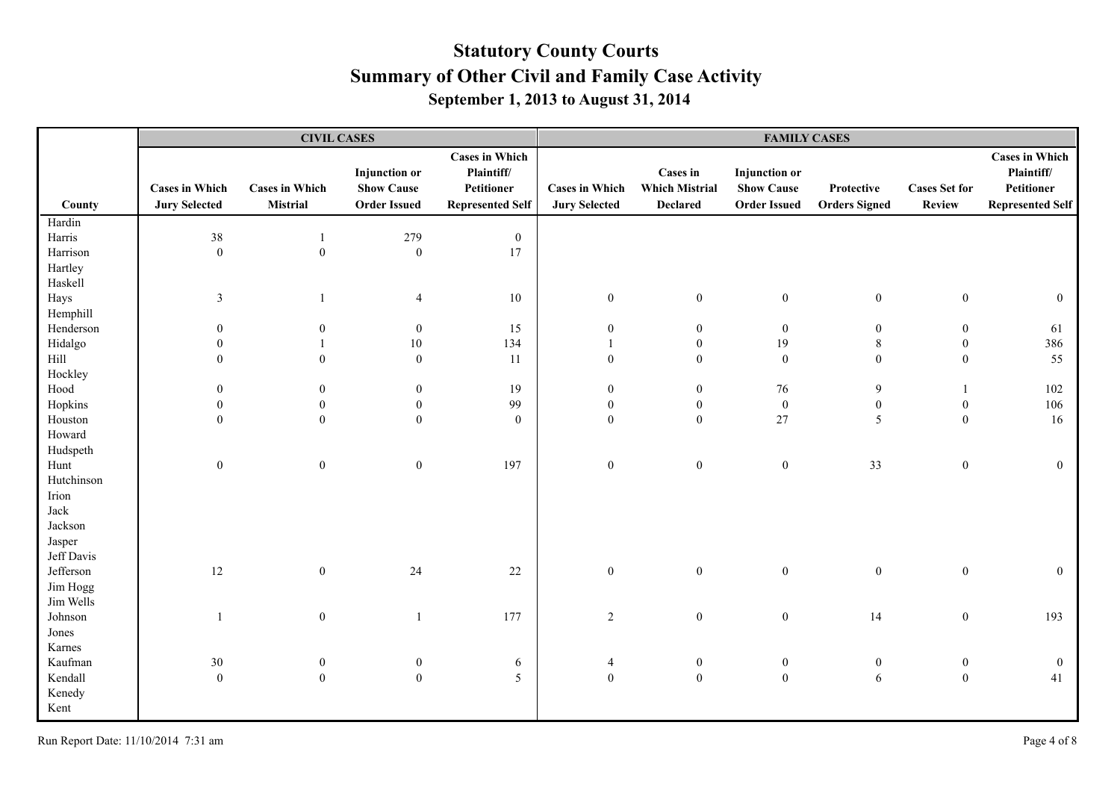|                       |                                               | <b>CIVIL CASES</b>                |                                                                  |                                                                              | <b>FAMILY CASES</b>                           |                                                             |                                                                  |                                    |                                |                                                                              |
|-----------------------|-----------------------------------------------|-----------------------------------|------------------------------------------------------------------|------------------------------------------------------------------------------|-----------------------------------------------|-------------------------------------------------------------|------------------------------------------------------------------|------------------------------------|--------------------------------|------------------------------------------------------------------------------|
| County                | <b>Cases in Which</b><br><b>Jury Selected</b> | <b>Cases in Which</b><br>Mistrial | <b>Injunction</b> or<br><b>Show Cause</b><br><b>Order Issued</b> | <b>Cases in Which</b><br>Plaintiff/<br>Petitioner<br><b>Represented Self</b> | <b>Cases in Which</b><br><b>Jury Selected</b> | <b>Cases in</b><br><b>Which Mistrial</b><br><b>Declared</b> | <b>Injunction</b> or<br><b>Show Cause</b><br><b>Order Issued</b> | Protective<br><b>Orders Signed</b> | <b>Cases Set for</b><br>Review | <b>Cases in Which</b><br>Plaintiff/<br>Petitioner<br><b>Represented Self</b> |
| Hardin                |                                               |                                   |                                                                  |                                                                              |                                               |                                                             |                                                                  |                                    |                                |                                                                              |
| Harris                | $38\,$                                        | $\overline{1}$                    | 279                                                              | $\boldsymbol{0}$                                                             |                                               |                                                             |                                                                  |                                    |                                |                                                                              |
| Harrison              | $\boldsymbol{0}$                              | $\boldsymbol{0}$                  | $\boldsymbol{0}$                                                 | 17                                                                           |                                               |                                                             |                                                                  |                                    |                                |                                                                              |
| Hartley               |                                               |                                   |                                                                  |                                                                              |                                               |                                                             |                                                                  |                                    |                                |                                                                              |
| Haskell               |                                               |                                   |                                                                  |                                                                              |                                               |                                                             |                                                                  |                                    |                                |                                                                              |
| Hays                  | $\mathfrak{Z}$                                |                                   | $\overline{4}$                                                   | 10                                                                           | $\boldsymbol{0}$                              | $\boldsymbol{0}$                                            | $\boldsymbol{0}$                                                 | $\boldsymbol{0}$                   | $\boldsymbol{0}$               | $\mathbf{0}$                                                                 |
| Hemphill              |                                               |                                   |                                                                  |                                                                              |                                               |                                                             |                                                                  |                                    |                                |                                                                              |
| Henderson             | $\theta$                                      | $\overline{0}$                    | $\overline{0}$                                                   | 15                                                                           | $\mathbf{0}$                                  | $\overline{0}$                                              | $\mathbf{0}$                                                     | $\mathbf{0}$                       | $\mathbf{0}$                   | 61                                                                           |
| Hidalgo               | $\theta$                                      |                                   | $10\,$                                                           | 134                                                                          |                                               | $\overline{0}$                                              | 19                                                               | $8\,$                              | $\boldsymbol{0}$               | 386                                                                          |
| $\rm Hill$            | $\theta$                                      | $\boldsymbol{0}$                  | $\mathbf{0}$                                                     | $11\,$                                                                       | $\mathbf{0}$                                  | $\overline{0}$                                              | $\mathbf{0}$                                                     | $\boldsymbol{0}$                   | $\boldsymbol{0}$               | 55                                                                           |
| Hockley               |                                               |                                   |                                                                  |                                                                              |                                               |                                                             |                                                                  |                                    |                                |                                                                              |
| Hood                  | $\mathbf{0}$                                  | $\mathbf{0}$                      | $\boldsymbol{0}$                                                 | 19                                                                           | $\boldsymbol{0}$                              | $\boldsymbol{0}$                                            | 76                                                               | 9                                  |                                | 102                                                                          |
| Hopkins               | $\theta$                                      | $\boldsymbol{0}$                  | $\boldsymbol{0}$                                                 | 99                                                                           | $\boldsymbol{0}$                              | $\boldsymbol{0}$                                            | $\boldsymbol{0}$                                                 | $\boldsymbol{0}$                   | $\boldsymbol{0}$               | 106                                                                          |
| Houston               | $\mathbf{0}$                                  | $\boldsymbol{0}$                  | $\overline{0}$                                                   | $\mathbf{0}$                                                                 | $\boldsymbol{0}$                              | $\mathbf{0}$                                                | 27                                                               | 5                                  | $\boldsymbol{0}$               | 16                                                                           |
| Howard                |                                               |                                   |                                                                  |                                                                              |                                               |                                                             |                                                                  |                                    |                                |                                                                              |
| Hudspeth              |                                               |                                   |                                                                  |                                                                              |                                               |                                                             |                                                                  |                                    |                                |                                                                              |
| Hunt                  | $\boldsymbol{0}$                              | $\boldsymbol{0}$                  | $\mathbf{0}$                                                     | 197                                                                          | $\boldsymbol{0}$                              | $\boldsymbol{0}$                                            | $\boldsymbol{0}$                                                 | 33                                 | $\boldsymbol{0}$               | $\overline{0}$                                                               |
| Hutchinson            |                                               |                                   |                                                                  |                                                                              |                                               |                                                             |                                                                  |                                    |                                |                                                                              |
| Irion                 |                                               |                                   |                                                                  |                                                                              |                                               |                                                             |                                                                  |                                    |                                |                                                                              |
| Jack                  |                                               |                                   |                                                                  |                                                                              |                                               |                                                             |                                                                  |                                    |                                |                                                                              |
| Jackson               |                                               |                                   |                                                                  |                                                                              |                                               |                                                             |                                                                  |                                    |                                |                                                                              |
| Jasper                |                                               |                                   |                                                                  |                                                                              |                                               |                                                             |                                                                  |                                    |                                |                                                                              |
| Jeff Davis            |                                               |                                   |                                                                  |                                                                              |                                               |                                                             |                                                                  |                                    |                                |                                                                              |
| Jefferson             | 12                                            | $\boldsymbol{0}$                  | 24                                                               | 22                                                                           | $\boldsymbol{0}$                              | $\boldsymbol{0}$                                            | $\boldsymbol{0}$                                                 | $\boldsymbol{0}$                   | $\boldsymbol{0}$               | $\mathbf{0}$                                                                 |
| Jim Hogg<br>Jim Wells |                                               |                                   |                                                                  |                                                                              |                                               |                                                             |                                                                  |                                    |                                |                                                                              |
|                       |                                               |                                   |                                                                  | 177                                                                          |                                               |                                                             |                                                                  |                                    |                                | 193                                                                          |
| Johnson               |                                               | $\boldsymbol{0}$                  |                                                                  |                                                                              | $\overline{c}$                                | $\boldsymbol{0}$                                            | $\boldsymbol{0}$                                                 | 14                                 | $\boldsymbol{0}$               |                                                                              |
| Jones<br>Karnes       |                                               |                                   |                                                                  |                                                                              |                                               |                                                             |                                                                  |                                    |                                |                                                                              |
| Kaufman               | $30\,$                                        | $\boldsymbol{0}$                  |                                                                  |                                                                              | $\overline{4}$                                | $\boldsymbol{0}$                                            | $\boldsymbol{0}$                                                 | $\boldsymbol{0}$                   | $\boldsymbol{0}$               | $\overline{0}$                                                               |
| Kendall               | $\mathbf{0}$                                  | $\boldsymbol{0}$                  | $\bf{0}$<br>$\mathbf{0}$                                         | 6<br>5                                                                       | $\boldsymbol{0}$                              | $\mathbf{0}$                                                | $\boldsymbol{0}$                                                 | 6                                  | $\mathbf{0}$                   | 41                                                                           |
| Kenedy                |                                               |                                   |                                                                  |                                                                              |                                               |                                                             |                                                                  |                                    |                                |                                                                              |
| Kent                  |                                               |                                   |                                                                  |                                                                              |                                               |                                                             |                                                                  |                                    |                                |                                                                              |
|                       |                                               |                                   |                                                                  |                                                                              |                                               |                                                             |                                                                  |                                    |                                |                                                                              |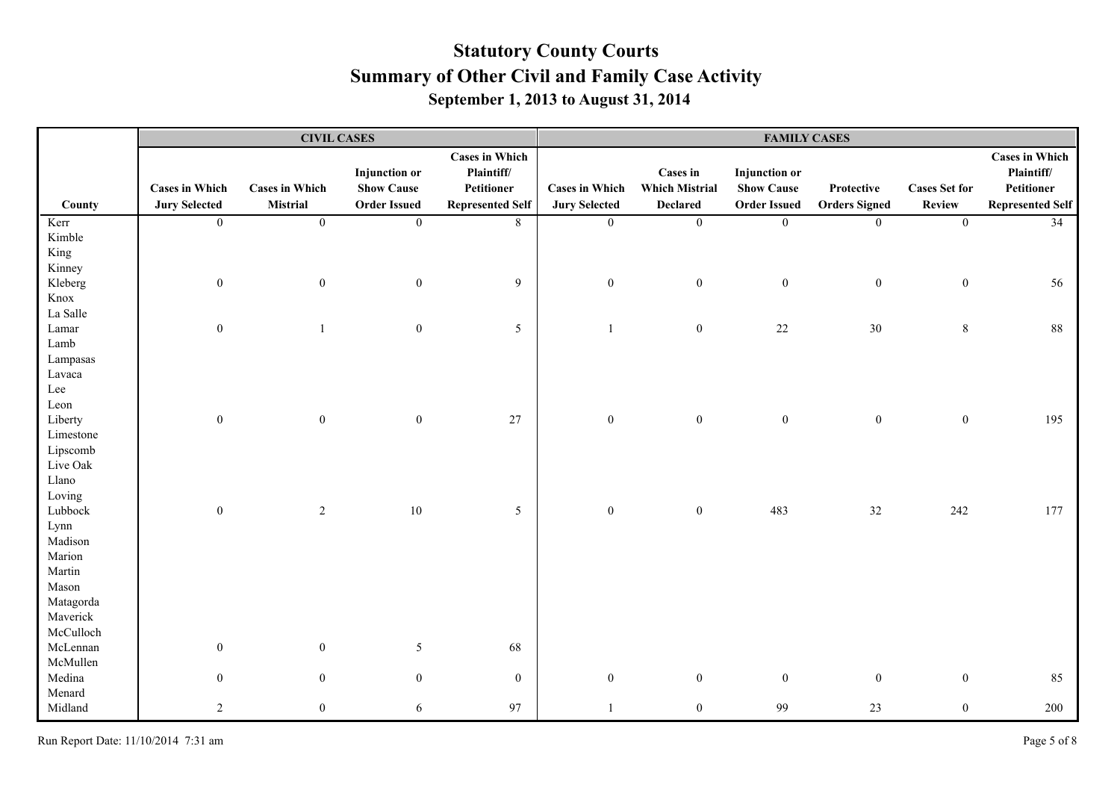|           |                       |                       | <b>CIVIL CASES</b>   |                         | <b>FAMILY CASES</b>   |                       |                      |                      |                      |                         |
|-----------|-----------------------|-----------------------|----------------------|-------------------------|-----------------------|-----------------------|----------------------|----------------------|----------------------|-------------------------|
|           |                       |                       |                      | <b>Cases in Which</b>   |                       |                       |                      |                      |                      | <b>Cases in Which</b>   |
|           |                       |                       | <b>Injunction</b> or | Plaintiff/              |                       | Cases in              | <b>Injunction</b> or |                      |                      | Plaintiff/              |
|           | <b>Cases in Which</b> | <b>Cases in Which</b> | <b>Show Cause</b>    | Petitioner              | <b>Cases in Which</b> | <b>Which Mistrial</b> | <b>Show Cause</b>    | Protective           | <b>Cases Set for</b> | Petitioner              |
| County    | <b>Jury Selected</b>  | Mistrial              | <b>Order Issued</b>  | <b>Represented Self</b> | <b>Jury Selected</b>  | <b>Declared</b>       | <b>Order Issued</b>  | <b>Orders Signed</b> | <b>Review</b>        | <b>Represented Self</b> |
| Kerr      | $\overline{0}$        | $\overline{0}$        | $\overline{0}$       | $8\,$                   | $\overline{0}$        | $\boldsymbol{0}$      | $\boldsymbol{0}$     | $\overline{0}$       | $\overline{0}$       | 34                      |
| Kimble    |                       |                       |                      |                         |                       |                       |                      |                      |                      |                         |
| King      |                       |                       |                      |                         |                       |                       |                      |                      |                      |                         |
| Kinney    |                       |                       |                      |                         |                       |                       |                      |                      |                      |                         |
| Kleberg   | $\boldsymbol{0}$      | $\boldsymbol{0}$      | $\boldsymbol{0}$     | 9                       | $\boldsymbol{0}$      | $\boldsymbol{0}$      | $\boldsymbol{0}$     | $\boldsymbol{0}$     | $\boldsymbol{0}$     | 56                      |
| Knox      |                       |                       |                      |                         |                       |                       |                      |                      |                      |                         |
| La Salle  |                       |                       |                      |                         |                       |                       |                      |                      |                      |                         |
| Lamar     | $\boldsymbol{0}$      |                       | $\mathbf{0}$         | 5                       |                       | $\boldsymbol{0}$      | 22                   | $30\,$               | $8\,$                | 88                      |
| Lamb      |                       |                       |                      |                         |                       |                       |                      |                      |                      |                         |
| Lampasas  |                       |                       |                      |                         |                       |                       |                      |                      |                      |                         |
| Lavaca    |                       |                       |                      |                         |                       |                       |                      |                      |                      |                         |
| Lee       |                       |                       |                      |                         |                       |                       |                      |                      |                      |                         |
| Leon      |                       |                       |                      |                         |                       |                       |                      |                      |                      |                         |
| Liberty   | $\boldsymbol{0}$      | $\boldsymbol{0}$      | $\boldsymbol{0}$     | $27\,$                  | $\boldsymbol{0}$      | $\boldsymbol{0}$      | $\boldsymbol{0}$     | $\boldsymbol{0}$     | $\boldsymbol{0}$     | 195                     |
| Limestone |                       |                       |                      |                         |                       |                       |                      |                      |                      |                         |
| Lipscomb  |                       |                       |                      |                         |                       |                       |                      |                      |                      |                         |
| Live Oak  |                       |                       |                      |                         |                       |                       |                      |                      |                      |                         |
| Llano     |                       |                       |                      |                         |                       |                       |                      |                      |                      |                         |
| Loving    |                       |                       |                      |                         |                       |                       |                      |                      |                      |                         |
| Lubbock   | $\boldsymbol{0}$      | $\sqrt{2}$            | $10\,$               | 5                       | $\mathbf{0}$          | $\boldsymbol{0}$      | 483                  | 32                   | 242                  | 177                     |
| Lynn      |                       |                       |                      |                         |                       |                       |                      |                      |                      |                         |
| Madison   |                       |                       |                      |                         |                       |                       |                      |                      |                      |                         |
| Marion    |                       |                       |                      |                         |                       |                       |                      |                      |                      |                         |
| Martin    |                       |                       |                      |                         |                       |                       |                      |                      |                      |                         |
| Mason     |                       |                       |                      |                         |                       |                       |                      |                      |                      |                         |
| Matagorda |                       |                       |                      |                         |                       |                       |                      |                      |                      |                         |
| Maverick  |                       |                       |                      |                         |                       |                       |                      |                      |                      |                         |
| McCulloch |                       |                       |                      |                         |                       |                       |                      |                      |                      |                         |
| McLennan  | $\boldsymbol{0}$      | $\mathbf{0}$          | $\mathfrak{S}$       | 68                      |                       |                       |                      |                      |                      |                         |
| McMullen  |                       |                       |                      |                         |                       |                       |                      |                      |                      |                         |
| Medina    | $\boldsymbol{0}$      | $\overline{0}$        | $\mathbf{0}$         | $\boldsymbol{0}$        | $\mathbf{0}$          | $\boldsymbol{0}$      | $\mathbf{0}$         | $\boldsymbol{0}$     | $\boldsymbol{0}$     | 85                      |
| Menard    |                       |                       |                      |                         |                       |                       |                      |                      |                      |                         |
| Midland   | 2                     | $\boldsymbol{0}$      | $6\,$                | 97                      |                       | $\boldsymbol{0}$      | 99                   | 23                   | $\mathbf{0}$         | 200                     |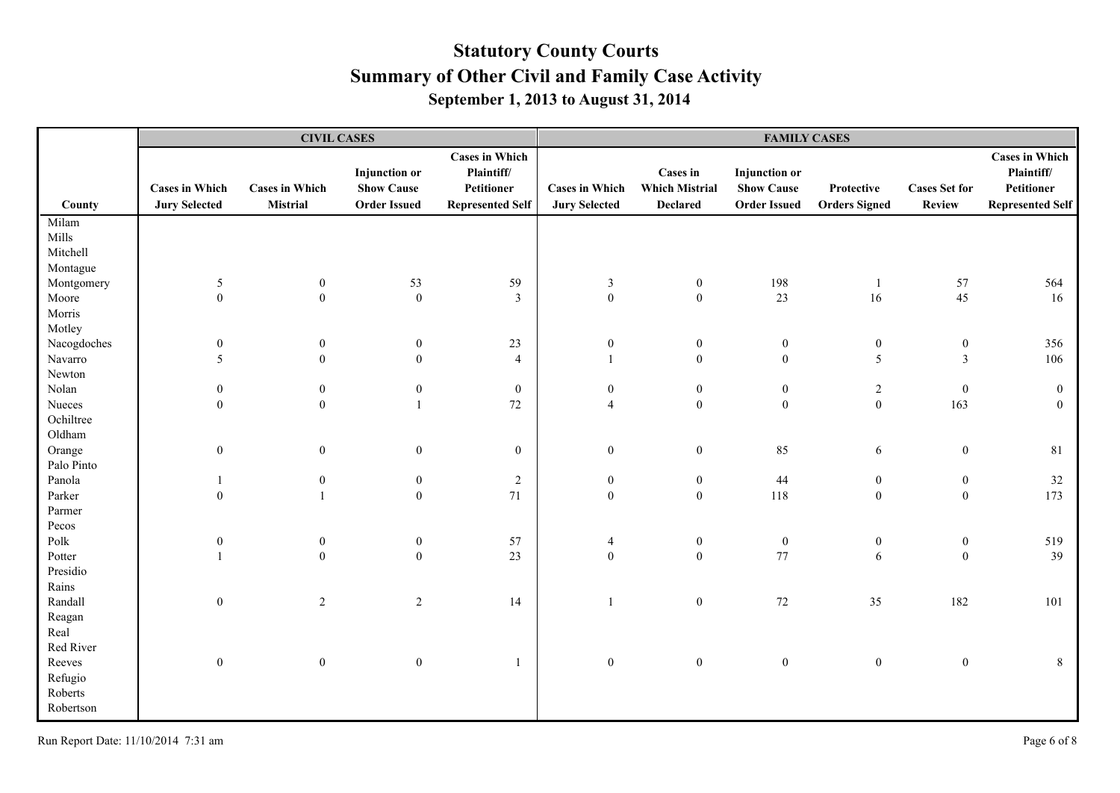|             |                                               | <b>CIVIL CASES</b>                       |                                                                  |                                                                              | <b>FAMILY CASES</b>                           |                                                             |                                                                  |                                    |                                       |                                                                              |
|-------------|-----------------------------------------------|------------------------------------------|------------------------------------------------------------------|------------------------------------------------------------------------------|-----------------------------------------------|-------------------------------------------------------------|------------------------------------------------------------------|------------------------------------|---------------------------------------|------------------------------------------------------------------------------|
| County      | <b>Cases in Which</b><br><b>Jury Selected</b> | <b>Cases in Which</b><br><b>Mistrial</b> | <b>Injunction</b> or<br><b>Show Cause</b><br><b>Order Issued</b> | <b>Cases in Which</b><br>Plaintiff/<br>Petitioner<br><b>Represented Self</b> | <b>Cases in Which</b><br><b>Jury Selected</b> | <b>Cases in</b><br><b>Which Mistrial</b><br><b>Declared</b> | <b>Injunction</b> or<br><b>Show Cause</b><br><b>Order Issued</b> | Protective<br><b>Orders Signed</b> | <b>Cases Set for</b><br><b>Review</b> | <b>Cases in Which</b><br>Plaintiff/<br>Petitioner<br><b>Represented Self</b> |
| Milam       |                                               |                                          |                                                                  |                                                                              |                                               |                                                             |                                                                  |                                    |                                       |                                                                              |
| Mills       |                                               |                                          |                                                                  |                                                                              |                                               |                                                             |                                                                  |                                    |                                       |                                                                              |
| Mitchell    |                                               |                                          |                                                                  |                                                                              |                                               |                                                             |                                                                  |                                    |                                       |                                                                              |
| Montague    |                                               |                                          |                                                                  |                                                                              |                                               |                                                             |                                                                  |                                    |                                       |                                                                              |
| Montgomery  | 5                                             | $\boldsymbol{0}$                         | 53                                                               | 59                                                                           | $\mathfrak{Z}$                                | $\boldsymbol{0}$                                            | 198                                                              |                                    | 57                                    | 564                                                                          |
| Moore       | $\boldsymbol{0}$                              | $\boldsymbol{0}$                         | $\boldsymbol{0}$                                                 | $\mathfrak{Z}$                                                               | $\boldsymbol{0}$                              | $\boldsymbol{0}$                                            | 23                                                               | 16                                 | 45                                    | 16                                                                           |
| Morris      |                                               |                                          |                                                                  |                                                                              |                                               |                                                             |                                                                  |                                    |                                       |                                                                              |
| Motley      |                                               |                                          |                                                                  |                                                                              |                                               |                                                             |                                                                  |                                    |                                       |                                                                              |
| Nacogdoches | $\boldsymbol{0}$                              | $\boldsymbol{0}$                         | $\boldsymbol{0}$                                                 | $23\,$                                                                       | $\boldsymbol{0}$                              | $\boldsymbol{0}$                                            | $\boldsymbol{0}$                                                 | $\bf{0}$                           | $\boldsymbol{0}$                      | 356                                                                          |
| Navarro     | 5                                             | $\boldsymbol{0}$                         | $\boldsymbol{0}$                                                 | $\overline{4}$                                                               | $\mathbf{1}$                                  | $\mathbf{0}$                                                | $\mathbf{0}$                                                     | $\mathfrak{S}$                     | $\overline{3}$                        | 106                                                                          |
| Newton      |                                               |                                          |                                                                  |                                                                              |                                               |                                                             |                                                                  |                                    |                                       |                                                                              |
| Nolan       | $\boldsymbol{0}$                              | $\boldsymbol{0}$                         | $\boldsymbol{0}$                                                 | $\boldsymbol{0}$                                                             | $\boldsymbol{0}$                              | $\boldsymbol{0}$                                            | $\boldsymbol{0}$                                                 | $\sqrt{2}$                         | $\boldsymbol{0}$                      | $\boldsymbol{0}$                                                             |
| Nueces      | $\boldsymbol{0}$                              | $\boldsymbol{0}$                         | $\overline{1}$                                                   | $72\,$                                                                       | $\overline{4}$                                | $\boldsymbol{0}$                                            | $\mathbf{0}$                                                     | $\boldsymbol{0}$                   | 163                                   | $\overline{0}$                                                               |
| Ochiltree   |                                               |                                          |                                                                  |                                                                              |                                               |                                                             |                                                                  |                                    |                                       |                                                                              |
| Oldham      |                                               |                                          |                                                                  |                                                                              |                                               |                                                             |                                                                  |                                    |                                       |                                                                              |
| Orange      | $\mathbf{0}$                                  | $\boldsymbol{0}$                         | $\mathbf{0}$                                                     | $\boldsymbol{0}$                                                             | $\boldsymbol{0}$                              | $\boldsymbol{0}$                                            | 85                                                               | 6                                  | $\boldsymbol{0}$                      | 81                                                                           |
| Palo Pinto  |                                               |                                          |                                                                  |                                                                              |                                               |                                                             |                                                                  |                                    |                                       |                                                                              |
| Panola      |                                               | $\boldsymbol{0}$                         | $\mathbf{0}$                                                     | $\sqrt{2}$                                                                   | $\boldsymbol{0}$                              | $\mathbf{0}$                                                | 44                                                               | $\boldsymbol{0}$                   | $\boldsymbol{0}$                      | 32                                                                           |
| Parker      | $\boldsymbol{0}$                              | $\overline{1}$                           | $\mathbf{0}$                                                     | 71                                                                           | $\mathbf{0}$                                  | $\mathbf{0}$                                                | 118                                                              | $\boldsymbol{0}$                   | $\boldsymbol{0}$                      | 173                                                                          |
| Parmer      |                                               |                                          |                                                                  |                                                                              |                                               |                                                             |                                                                  |                                    |                                       |                                                                              |
| Pecos       |                                               |                                          |                                                                  |                                                                              |                                               |                                                             |                                                                  |                                    |                                       |                                                                              |
| Polk        | $\boldsymbol{0}$                              | $\boldsymbol{0}$                         | $\boldsymbol{0}$                                                 | 57                                                                           | $\overline{4}$                                | $\boldsymbol{0}$                                            | $\boldsymbol{0}$                                                 | $\boldsymbol{0}$                   | $\boldsymbol{0}$                      | 519                                                                          |
| Potter      |                                               | $\mathbf{0}$                             | $\mathbf{0}$                                                     | 23                                                                           | $\boldsymbol{0}$                              | $\mathbf{0}$                                                | 77                                                               | 6                                  | $\boldsymbol{0}$                      | 39                                                                           |
| Presidio    |                                               |                                          |                                                                  |                                                                              |                                               |                                                             |                                                                  |                                    |                                       |                                                                              |
| Rains       |                                               |                                          |                                                                  |                                                                              |                                               |                                                             |                                                                  |                                    |                                       |                                                                              |
| Randall     | $\mathbf{0}$                                  | $\sqrt{2}$                               | 2                                                                | 14                                                                           | $\mathbf{1}$                                  | $\mathbf{0}$                                                | 72                                                               | 35                                 | 182                                   | 101                                                                          |
| Reagan      |                                               |                                          |                                                                  |                                                                              |                                               |                                                             |                                                                  |                                    |                                       |                                                                              |
| Real        |                                               |                                          |                                                                  |                                                                              |                                               |                                                             |                                                                  |                                    |                                       |                                                                              |
| Red River   |                                               |                                          |                                                                  |                                                                              |                                               |                                                             |                                                                  |                                    |                                       |                                                                              |
| Reeves      | $\mathbf{0}$                                  | $\boldsymbol{0}$                         | $\boldsymbol{0}$                                                 | $\mathbf{1}$                                                                 | $\boldsymbol{0}$                              | $\mathbf{0}$                                                | $\boldsymbol{0}$                                                 | $\boldsymbol{0}$                   | $\boldsymbol{0}$                      | 8                                                                            |
| Refugio     |                                               |                                          |                                                                  |                                                                              |                                               |                                                             |                                                                  |                                    |                                       |                                                                              |
| Roberts     |                                               |                                          |                                                                  |                                                                              |                                               |                                                             |                                                                  |                                    |                                       |                                                                              |
| Robertson   |                                               |                                          |                                                                  |                                                                              |                                               |                                                             |                                                                  |                                    |                                       |                                                                              |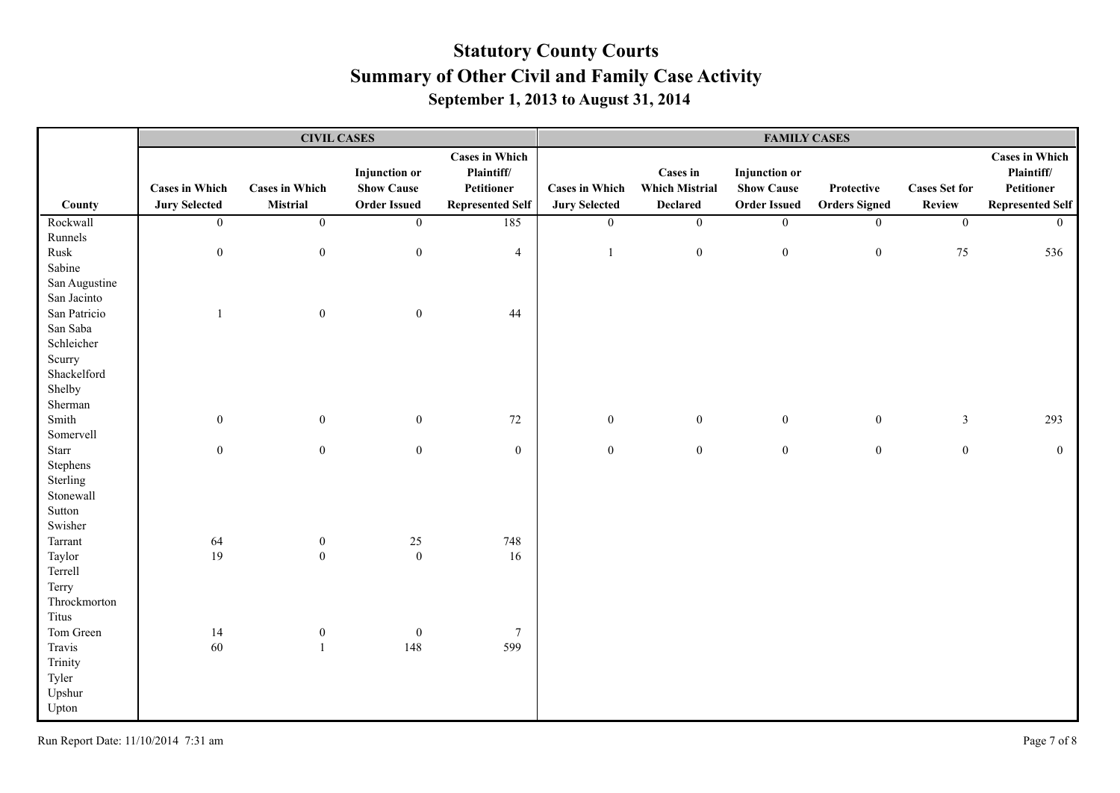|               |                       |                       | <b>CIVIL CASES</b>   |                         | <b>FAMILY CASES</b>   |                       |                      |                      |                      |                         |
|---------------|-----------------------|-----------------------|----------------------|-------------------------|-----------------------|-----------------------|----------------------|----------------------|----------------------|-------------------------|
|               |                       |                       |                      | <b>Cases in Which</b>   |                       |                       |                      |                      |                      | <b>Cases in Which</b>   |
|               |                       |                       | <b>Injunction</b> or | Plaintiff/              |                       | <b>Cases in</b>       | <b>Injunction</b> or |                      |                      | Plaintiff/              |
|               | <b>Cases in Which</b> | <b>Cases in Which</b> | <b>Show Cause</b>    | Petitioner              | <b>Cases in Which</b> | <b>Which Mistrial</b> | <b>Show Cause</b>    | Protective           | <b>Cases Set for</b> | Petitioner              |
| County        | <b>Jury Selected</b>  | Mistrial              | <b>Order Issued</b>  | <b>Represented Self</b> | <b>Jury Selected</b>  | <b>Declared</b>       | <b>Order Issued</b>  | <b>Orders Signed</b> | <b>Review</b>        | <b>Represented Self</b> |
| Rockwall      | $\overline{0}$        | $\overline{0}$        | $\overline{0}$       | 185                     | $\overline{0}$        | $\overline{0}$        | $\overline{0}$       | $\overline{0}$       | $\overline{0}$       | $\overline{0}$          |
| Runnels       |                       |                       |                      |                         |                       |                       |                      |                      |                      |                         |
| Rusk          | $\boldsymbol{0}$      | $\boldsymbol{0}$      | $\boldsymbol{0}$     | $\overline{4}$          | $\overline{1}$        | $\boldsymbol{0}$      | $\boldsymbol{0}$     | $\boldsymbol{0}$     | 75                   | 536                     |
| Sabine        |                       |                       |                      |                         |                       |                       |                      |                      |                      |                         |
| San Augustine |                       |                       |                      |                         |                       |                       |                      |                      |                      |                         |
| San Jacinto   |                       |                       |                      |                         |                       |                       |                      |                      |                      |                         |
| San Patricio  | $\overline{1}$        | $\boldsymbol{0}$      | $\mathbf{0}$         | 44                      |                       |                       |                      |                      |                      |                         |
| San Saba      |                       |                       |                      |                         |                       |                       |                      |                      |                      |                         |
| Schleicher    |                       |                       |                      |                         |                       |                       |                      |                      |                      |                         |
| Scurry        |                       |                       |                      |                         |                       |                       |                      |                      |                      |                         |
| Shackelford   |                       |                       |                      |                         |                       |                       |                      |                      |                      |                         |
| Shelby        |                       |                       |                      |                         |                       |                       |                      |                      |                      |                         |
| Sherman       |                       |                       |                      |                         |                       |                       |                      |                      |                      |                         |
| Smith         | $\boldsymbol{0}$      | $\mathbf{0}$          | $\mathbf{0}$         | $72\,$                  | $\mathbf{0}$          | $\boldsymbol{0}$      | $\mathbf{0}$         | $\mathbf{0}$         | $\mathfrak{Z}$       | 293                     |
| Somervell     |                       |                       |                      |                         |                       |                       |                      |                      |                      |                         |
| Starr         | $\mathbf{0}$          | $\boldsymbol{0}$      | $\mathbf{0}$         | $\boldsymbol{0}$        | $\boldsymbol{0}$      | $\boldsymbol{0}$      | $\boldsymbol{0}$     | $\boldsymbol{0}$     | $\boldsymbol{0}$     | $\overline{0}$          |
| Stephens      |                       |                       |                      |                         |                       |                       |                      |                      |                      |                         |
| Sterling      |                       |                       |                      |                         |                       |                       |                      |                      |                      |                         |
| Stonewall     |                       |                       |                      |                         |                       |                       |                      |                      |                      |                         |
| Sutton        |                       |                       |                      |                         |                       |                       |                      |                      |                      |                         |
| Swisher       |                       |                       |                      |                         |                       |                       |                      |                      |                      |                         |
| Tarrant       | 64                    | $\boldsymbol{0}$      | $25\,$               | 748                     |                       |                       |                      |                      |                      |                         |
| Taylor        | 19                    | $\boldsymbol{0}$      | $\boldsymbol{0}$     | 16                      |                       |                       |                      |                      |                      |                         |
| Terrell       |                       |                       |                      |                         |                       |                       |                      |                      |                      |                         |
| Terry         |                       |                       |                      |                         |                       |                       |                      |                      |                      |                         |
| Throckmorton  |                       |                       |                      |                         |                       |                       |                      |                      |                      |                         |
| Titus         |                       |                       |                      |                         |                       |                       |                      |                      |                      |                         |
| Tom Green     | 14                    | $\boldsymbol{0}$      | $\boldsymbol{0}$     | $\tau$                  |                       |                       |                      |                      |                      |                         |
| Travis        | 60                    | $\overline{1}$        | 148                  | 599                     |                       |                       |                      |                      |                      |                         |
| Trinity       |                       |                       |                      |                         |                       |                       |                      |                      |                      |                         |
| Tyler         |                       |                       |                      |                         |                       |                       |                      |                      |                      |                         |
| Upshur        |                       |                       |                      |                         |                       |                       |                      |                      |                      |                         |
| Upton         |                       |                       |                      |                         |                       |                       |                      |                      |                      |                         |